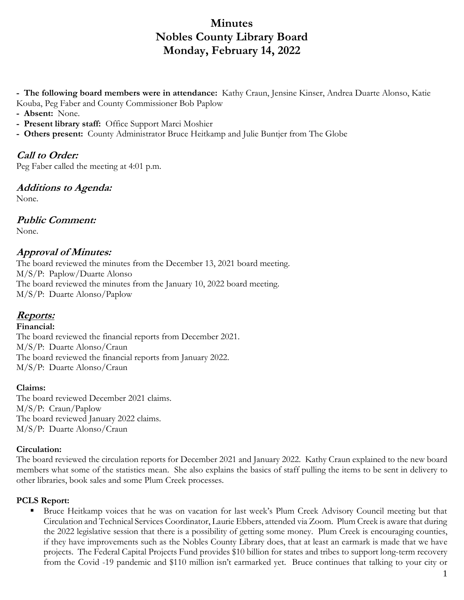# **Minutes Nobles County Library Board Monday, February 14, 2022**

**- The following board members were in attendance:** Kathy Craun, Jensine Kinser, Andrea Duarte Alonso, Katie Kouba, Peg Faber and County Commissioner Bob Paplow

- **Absent:** None.
- **Present library staff:** Office Support Marci Moshier
- **Others present:** County Administrator Bruce Heitkamp and Julie Buntjer from The Globe

# **Call to Order:**

Peg Faber called the meeting at 4:01 p.m.

### **Additions to Agenda:**

None.

### **Public Comment:**

None.

#### **Approval of Minutes:**

The board reviewed the minutes from the December 13, 2021 board meeting. M/S/P: Paplow/Duarte Alonso The board reviewed the minutes from the January 10, 2022 board meeting. M/S/P: Duarte Alonso/Paplow

### **Reports:**

#### **Financial:**

The board reviewed the financial reports from December 2021. M/S/P: Duarte Alonso/Craun The board reviewed the financial reports from January 2022. M/S/P: Duarte Alonso/Craun

#### **Claims:**

The board reviewed December 2021 claims. M/S/P: Craun/Paplow The board reviewed January 2022 claims. M/S/P: Duarte Alonso/Craun

#### **Circulation:**

The board reviewed the circulation reports for December 2021 and January 2022. Kathy Craun explained to the new board members what some of the statistics mean. She also explains the basics of staff pulling the items to be sent in delivery to other libraries, book sales and some Plum Creek processes.

#### **PCLS Report:**

**Bruce Heitkamp voices that he was on vacation for last week's Plum Creek Advisory Council meeting but that** Circulation and Technical Services Coordinator, Laurie Ebbers, attended via Zoom. Plum Creek is aware that during the 2022 legislative session that there is a possibility of getting some money. Plum Creek is encouraging counties, if they have improvements such as the Nobles County Library does, that at least an earmark is made that we have projects. The Federal Capital Projects Fund provides \$10 billion for states and tribes to support long-term recovery from the Covid -19 pandemic and \$110 million isn't earmarked yet. Bruce continues that talking to your city or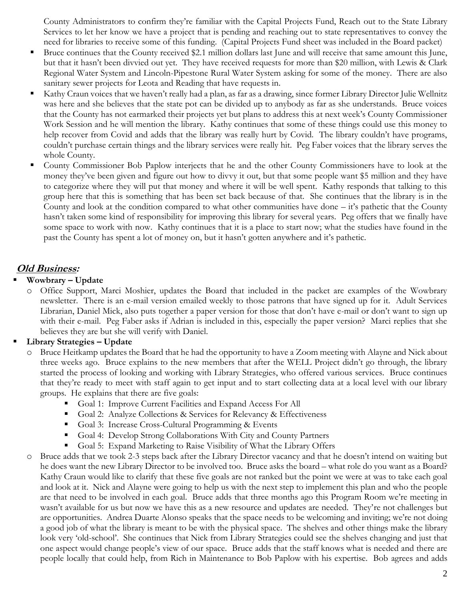County Administrators to confirm they're familiar with the Capital Projects Fund, Reach out to the State Library Services to let her know we have a project that is pending and reaching out to state representatives to convey the need for libraries to receive some of this funding. (Capital Projects Fund sheet was included in the Board packet)

- Bruce continues that the County received \$2.1 million dollars last June and will receive that same amount this June, but that it hasn't been divvied out yet. They have received requests for more than \$20 million, with Lewis & Clark Regional Water System and Lincoln-Pipestone Rural Water System asking for some of the money. There are also sanitary sewer projects for Leota and Reading that have requests in.
- Kathy Craun voices that we haven't really had a plan, as far as a drawing, since former Library Director Julie Wellnitz was here and she believes that the state pot can be divided up to anybody as far as she understands. Bruce voices that the County has not earmarked their projects yet but plans to address this at next week's County Commissioner Work Session and he will mention the library. Kathy continues that some of these things could use this money to help recover from Covid and adds that the library was really hurt by Covid. The library couldn't have programs, couldn't purchase certain things and the library services were really hit. Peg Faber voices that the library serves the whole County.
- County Commissioner Bob Paplow interjects that he and the other County Commissioners have to look at the money they've been given and figure out how to divvy it out, but that some people want \$5 million and they have to categorize where they will put that money and where it will be well spent. Kathy responds that talking to this group here that this is something that has been set back because of that. She continues that the library is in the County and look at the condition compared to what other communities have done – it's pathetic that the County hasn't taken some kind of responsibility for improving this library for several years. Peg offers that we finally have some space to work with now. Kathy continues that it is a place to start now; what the studies have found in the past the County has spent a lot of money on, but it hasn't gotten anywhere and it's pathetic.

# **Old Business:**

#### **Wowbrary – Update**

o Office Support, Marci Moshier, updates the Board that included in the packet are examples of the Wowbrary newsletter. There is an e-mail version emailed weekly to those patrons that have signed up for it. Adult Services Librarian, Daniel Mick, also puts together a paper version for those that don't have e-mail or don't want to sign up with their e-mail. Peg Faber asks if Adrian is included in this, especially the paper version? Marci replies that she believes they are but she will verify with Daniel.

#### **Library Strategies – Update**

- Bruce Heitkamp updates the Board that he had the opportunity to have a Zoom meeting with Alayne and Nick about three weeks ago. Bruce explains to the new members that after the WELL Project didn't go through, the library started the process of looking and working with Library Strategies, who offered various services. Bruce continues that they're ready to meet with staff again to get input and to start collecting data at a local level with our library groups. He explains that there are five goals:
	- Goal 1: Improve Current Facilities and Expand Access For All
	- Goal 2: Analyze Collections & Services for Relevancy & Effectiveness
	- Goal 3: Increase Cross-Cultural Programming & Events
	- Goal 4: Develop Strong Collaborations With City and County Partners
	- Goal 5: Expand Marketing to Raise Visibility of What the Library Offers
- o Bruce adds that we took 2-3 steps back after the Library Director vacancy and that he doesn't intend on waiting but he does want the new Library Director to be involved too. Bruce asks the board – what role do you want as a Board? Kathy Craun would like to clarify that these five goals are not ranked but the point we were at was to take each goal and look at it. Nick and Alayne were going to help us with the next step to implement this plan and who the people are that need to be involved in each goal. Bruce adds that three months ago this Program Room we're meeting in wasn't available for us but now we have this as a new resource and updates are needed. They're not challenges but are opportunities. Andrea Duarte Alonso speaks that the space needs to be welcoming and inviting; we're not doing a good job of what the library is meant to be with the physical space. The shelves and other things make the library look very 'old-school'. She continues that Nick from Library Strategies could see the shelves changing and just that one aspect would change people's view of our space. Bruce adds that the staff knows what is needed and there are people locally that could help, from Rich in Maintenance to Bob Paplow with his expertise. Bob agrees and adds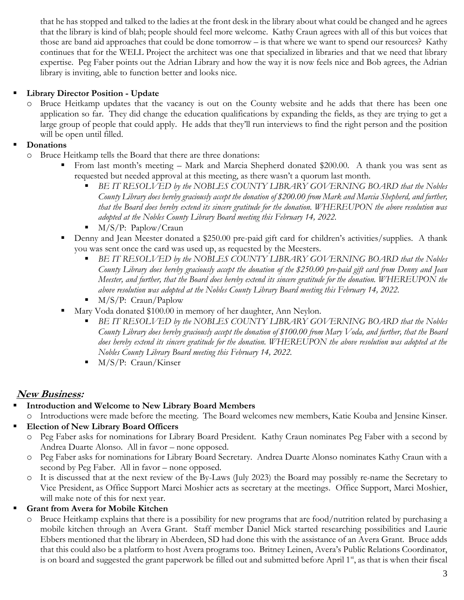that he has stopped and talked to the ladies at the front desk in the library about what could be changed and he agrees that the library is kind of blah; people should feel more welcome. Kathy Craun agrees with all of this but voices that those are band aid approaches that could be done tomorrow – is that where we want to spend our resources? Kathy continues that for the WELL Project the architect was one that specialized in libraries and that we need that library expertise. Peg Faber points out the Adrian Library and how the way it is now feels nice and Bob agrees, the Adrian library is inviting, able to function better and looks nice.

#### **Library Director Position - Update**

Bruce Heitkamp updates that the vacancy is out on the County website and he adds that there has been one application so far. They did change the education qualifications by expanding the fields, as they are trying to get a large group of people that could apply. He adds that they'll run interviews to find the right person and the position will be open until filled.

#### **Donations**

- o Bruce Heitkamp tells the Board that there are three donations:
	- From last month's meeting Mark and Marcia Shepherd donated \$200.00. A thank you was sent as requested but needed approval at this meeting, as there wasn't a quorum last month.
		- *BE IT RESOLVED by the NOBLES COUNTY LIBRARY GOVERNING BOARD that the Nobles County Library does hereby graciously accept the donation of \$200.00 from Mark and Marcia Shepherd, and further, that the Board does hereby extend its sincere gratitude for the donation. WHEREUPON the above resolution was adopted at the Nobles County Library Board meeting this February 14, 2022.*
		- $\blacksquare$  M/S/P: Paplow/Craun
	- Denny and Jean Meester donated a \$250.00 pre-paid gift card for children's activities/supplies. A thank you was sent once the card was used up, as requested by the Meesters.
		- *BE IT RESOLVED by the NOBLES COUNTY LIBRARY GOVERNING BOARD that the Nobles County Library does hereby graciously accept the donation of the \$250.00 pre-paid gift card from Denny and Jean Meester, and further, that the Board does hereby extend its sincere gratitude for the donation. WHEREUPON the above resolution was adopted at the Nobles County Library Board meeting this February 14, 2022.*
		- M/S/P: Craun/Paplow
	- Mary Voda donated \$100.00 in memory of her daughter, Ann Neylon.
		- *BE IT RESOLVED by the NOBLES COUNTY LIBRARY GOVERNING BOARD that the Nobles County Library does hereby graciously accept the donation of \$100.00 from Mary Voda, and further, that the Board does hereby extend its sincere gratitude for the donation. WHEREUPON the above resolution was adopted at the Nobles County Library Board meeting this February 14, 2022.*
		- M/S/P: Craun/Kinser

# **New Business:**

- **Introduction and Welcome to New Library Board Members**
	- o Introductions were made before the meeting. The Board welcomes new members, Katie Kouba and Jensine Kinser.
- **Election of New Library Board Officers**
	- o Peg Faber asks for nominations for Library Board President. Kathy Craun nominates Peg Faber with a second by Andrea Duarte Alonso. All in favor – none opposed.
	- o Peg Faber asks for nominations for Library Board Secretary. Andrea Duarte Alonso nominates Kathy Craun with a second by Peg Faber. All in favor – none opposed.
	- o It is discussed that at the next review of the By-Laws (July 2023) the Board may possibly re-name the Secretary to Vice President, as Office Support Marci Moshier acts as secretary at the meetings. Office Support, Marci Moshier, will make note of this for next year.

#### **Grant from Avera for Mobile Kitchen**

Bruce Heitkamp explains that there is a possibility for new programs that are food/nutrition related by purchasing a mobile kitchen through an Avera Grant. Staff member Daniel Mick started researching possibilities and Laurie Ebbers mentioned that the library in Aberdeen, SD had done this with the assistance of an Avera Grant. Bruce adds that this could also be a platform to host Avera programs too. Britney Leinen, Avera's Public Relations Coordinator, is on board and suggested the grant paperwork be filled out and submitted before April  $1<sup>st</sup>$ , as that is when their fiscal